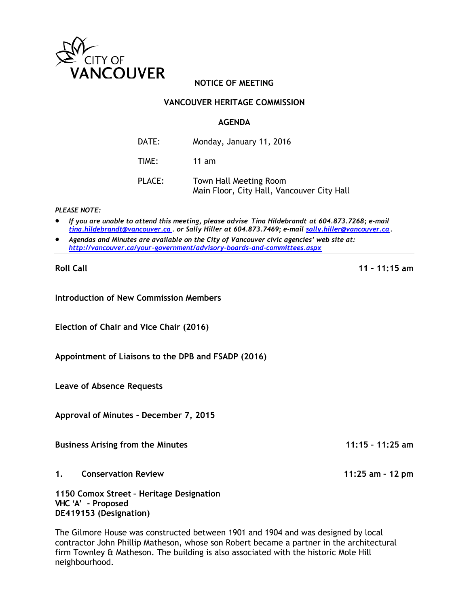

# **NOTICE OF MEETING**

### **VANCOUVER HERITAGE COMMISSION**

#### **AGENDA**

| DATE:  | Monday, January 11, 2016                                             |
|--------|----------------------------------------------------------------------|
| TIME:  | $11$ am                                                              |
| PLACE: | Town Hall Meeting Room<br>Main Floor, City Hall, Vancouver City Hall |

#### *PLEASE NOTE:*

- *If you are unable to attend this meeting, please advise Tina Hildebrandt at 604.873.7268; e-mail [tina.hildebrandt@vancouver.ca](mailto:tina.hildebrandt@vancouver.ca) . or Sally Hiller at 604.873.7469; e-mail [sally.hiller@vancouver.ca.](mailto:sally.hiller@vancouver.ca)*
- *Agendas and Minutes are available on the City of Vancouver civic agencies' web site at: <http://vancouver.ca/your-government/advisory-boards-and-committees.aspx>*

**Roll Call 11 – 11:15 am**

**Introduction of New Commission Members**

**Election of Chair and Vice Chair (2016)**

**Appointment of Liaisons to the DPB and FSADP (2016)**

**Leave of Absence Requests**

**Approval of Minutes – December 7, 2015**

**Business Arising from the Minutes 11:15 – 11:25 am**

**1. Conservation Review 11:25 am – 12 pm**

**1150 Comox Street – Heritage Designation VHC 'A' - Proposed DE419153 (Designation)**

The Gilmore House was constructed between 1901 and 1904 and was designed by local contractor John Phillip Matheson, whose son Robert became a partner in the architectural firm Townley & Matheson. The building is also associated with the historic Mole Hill neighbourhood.